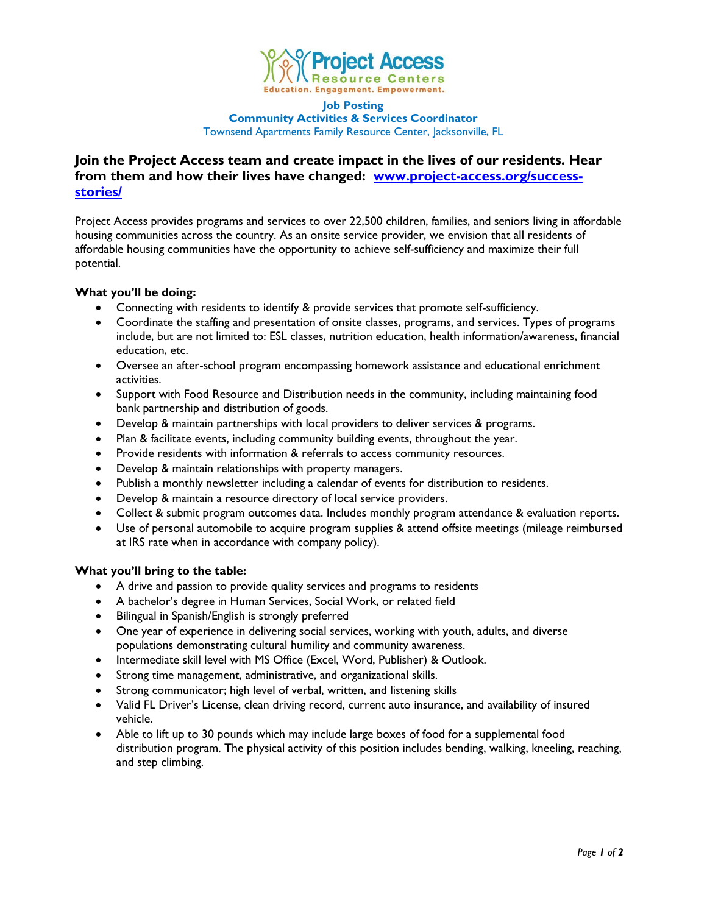

#### **Job Posting Community Activities & Services Coordinator** Townsend Apartments Family Resource Center, Jacksonville, FL

# **Join the Project Access team and create impact in the lives of our residents. Hear from them and how their lives have changed: [www.project-access.org/success](http://www.project-access.org/success-stories/)[stories/](http://www.project-access.org/success-stories/)**

Project Access provides programs and services to over 22,500 children, families, and seniors living in affordable housing communities across the country. As an onsite service provider, we envision that all residents of affordable housing communities have the opportunity to achieve self-sufficiency and maximize their full potential.

## **What you'll be doing:**

- Connecting with residents to identify & provide services that promote self-sufficiency.
- Coordinate the staffing and presentation of onsite classes, programs, and services. Types of programs include, but are not limited to: ESL classes, nutrition education, health information/awareness, financial education, etc.
- Oversee an after-school program encompassing homework assistance and educational enrichment activities.
- Support with Food Resource and Distribution needs in the community, including maintaining food bank partnership and distribution of goods.
- Develop & maintain partnerships with local providers to deliver services & programs.
- Plan & facilitate events, including community building events, throughout the year.
- Provide residents with information & referrals to access community resources.
- Develop & maintain relationships with property managers.
- Publish a monthly newsletter including a calendar of events for distribution to residents.
- Develop & maintain a resource directory of local service providers.
- Collect & submit program outcomes data. Includes monthly program attendance & evaluation reports.
- Use of personal automobile to acquire program supplies & attend offsite meetings (mileage reimbursed at IRS rate when in accordance with company policy).

### **What you'll bring to the table:**

- A drive and passion to provide quality services and programs to residents
- A bachelor's degree in Human Services, Social Work, or related field
- Bilingual in Spanish/English is strongly preferred
- One year of experience in delivering social services, working with youth, adults, and diverse populations demonstrating cultural humility and community awareness.
- Intermediate skill level with MS Office (Excel, Word, Publisher) & Outlook.
- Strong time management, administrative, and organizational skills.
- Strong communicator; high level of verbal, written, and listening skills
- Valid FL Driver's License, clean driving record, current auto insurance, and availability of insured vehicle.
- Able to lift up to 30 pounds which may include large boxes of food for a supplemental food distribution program. The physical activity of this position includes bending, walking, kneeling, reaching, and step climbing.